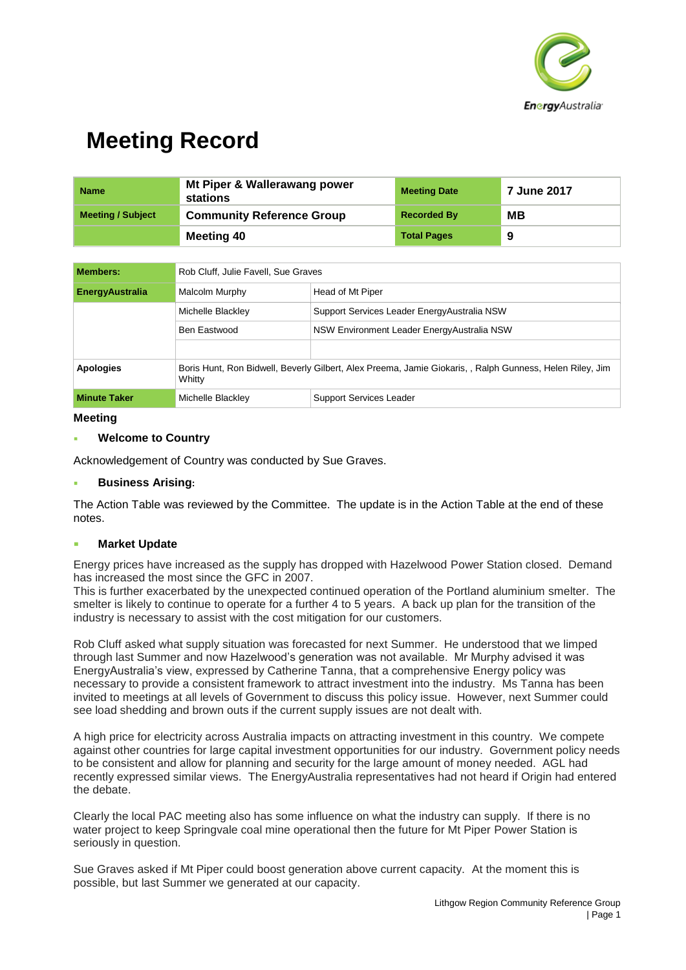

| <b>Name</b>              | Mt Piper & Wallerawang power<br>stations | <b>Meeting Date</b> | <b>7 June 2017</b> |
|--------------------------|------------------------------------------|---------------------|--------------------|
| <b>Meeting / Subject</b> | <b>Community Reference Group</b>         | <b>Recorded By</b>  | MВ                 |
|                          | <b>Meeting 40</b>                        | <b>Total Pages</b>  | 9                  |

| <b>Members:</b>        | Rob Cluff, Julie Favell, Sue Graves                                                                                |                                              |  |
|------------------------|--------------------------------------------------------------------------------------------------------------------|----------------------------------------------|--|
| <b>EnergyAustralia</b> | Malcolm Murphy                                                                                                     | Head of Mt Piper                             |  |
|                        | Michelle Blackley                                                                                                  | Support Services Leader Energy Australia NSW |  |
|                        | Ben Eastwood                                                                                                       | NSW Environment Leader Energy Australia NSW  |  |
|                        |                                                                                                                    |                                              |  |
| <b>Apologies</b>       | Boris Hunt, Ron Bidwell, Beverly Gilbert, Alex Preema, Jamie Giokaris, , Ralph Gunness, Helen Riley, Jim<br>Whitty |                                              |  |
| <b>Minute Taker</b>    | Michelle Blackley                                                                                                  | <b>Support Services Leader</b>               |  |

#### **Meeting**

#### **Welcome to Country**

Acknowledgement of Country was conducted by Sue Graves.

#### **Business Arising:**

The Action Table was reviewed by the Committee. The update is in the Action Table at the end of these notes.

#### **Market Update**

Energy prices have increased as the supply has dropped with Hazelwood Power Station closed. Demand has increased the most since the GFC in 2007.

This is further exacerbated by the unexpected continued operation of the Portland aluminium smelter. The smelter is likely to continue to operate for a further 4 to 5 years. A back up plan for the transition of the industry is necessary to assist with the cost mitigation for our customers.

Rob Cluff asked what supply situation was forecasted for next Summer. He understood that we limped through last Summer and now Hazelwood's generation was not available. Mr Murphy advised it was EnergyAustralia's view, expressed by Catherine Tanna, that a comprehensive Energy policy was necessary to provide a consistent framework to attract investment into the industry. Ms Tanna has been invited to meetings at all levels of Government to discuss this policy issue. However, next Summer could see load shedding and brown outs if the current supply issues are not dealt with.

A high price for electricity across Australia impacts on attracting investment in this country. We compete against other countries for large capital investment opportunities for our industry. Government policy needs to be consistent and allow for planning and security for the large amount of money needed. AGL had recently expressed similar views. The EnergyAustralia representatives had not heard if Origin had entered the debate.

Clearly the local PAC meeting also has some influence on what the industry can supply. If there is no water project to keep Springvale coal mine operational then the future for Mt Piper Power Station is seriously in question.

Sue Graves asked if Mt Piper could boost generation above current capacity. At the moment this is possible, but last Summer we generated at our capacity.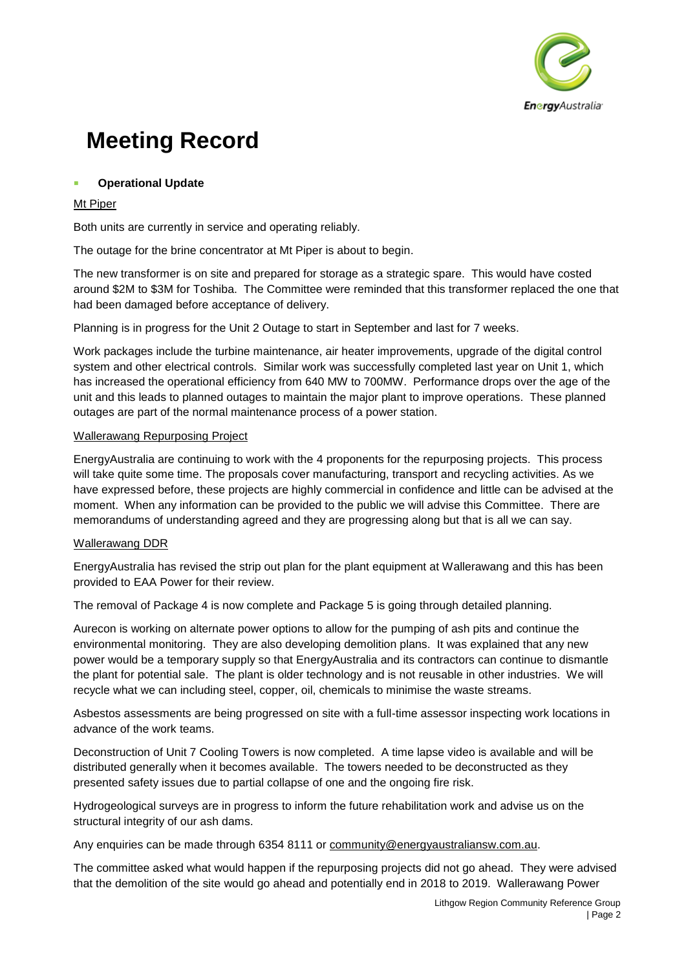

## **Operational Update**

## Mt Piper

Both units are currently in service and operating reliably.

The outage for the brine concentrator at Mt Piper is about to begin.

The new transformer is on site and prepared for storage as a strategic spare. This would have costed around \$2M to \$3M for Toshiba. The Committee were reminded that this transformer replaced the one that had been damaged before acceptance of delivery.

Planning is in progress for the Unit 2 Outage to start in September and last for 7 weeks.

Work packages include the turbine maintenance, air heater improvements, upgrade of the digital control system and other electrical controls. Similar work was successfully completed last year on Unit 1, which has increased the operational efficiency from 640 MW to 700MW. Performance drops over the age of the unit and this leads to planned outages to maintain the major plant to improve operations. These planned outages are part of the normal maintenance process of a power station.

#### Wallerawang Repurposing Project

EnergyAustralia are continuing to work with the 4 proponents for the repurposing projects. This process will take quite some time. The proposals cover manufacturing, transport and recycling activities. As we have expressed before, these projects are highly commercial in confidence and little can be advised at the moment. When any information can be provided to the public we will advise this Committee. There are memorandums of understanding agreed and they are progressing along but that is all we can say.

#### Wallerawang DDR

EnergyAustralia has revised the strip out plan for the plant equipment at Wallerawang and this has been provided to EAA Power for their review.

The removal of Package 4 is now complete and Package 5 is going through detailed planning.

Aurecon is working on alternate power options to allow for the pumping of ash pits and continue the environmental monitoring. They are also developing demolition plans. It was explained that any new power would be a temporary supply so that EnergyAustralia and its contractors can continue to dismantle the plant for potential sale. The plant is older technology and is not reusable in other industries. We will recycle what we can including steel, copper, oil, chemicals to minimise the waste streams.

Asbestos assessments are being progressed on site with a full-time assessor inspecting work locations in advance of the work teams.

Deconstruction of Unit 7 Cooling Towers is now completed. A time lapse video is available and will be distributed generally when it becomes available. The towers needed to be deconstructed as they presented safety issues due to partial collapse of one and the ongoing fire risk.

Hydrogeological surveys are in progress to inform the future rehabilitation work and advise us on the structural integrity of our ash dams.

Any enquiries can be made through 6354 8111 or [community@energyaustraliansw.com.au.](mailto:community@energyaustraliansw.com.au)

The committee asked what would happen if the repurposing projects did not go ahead. They were advised that the demolition of the site would go ahead and potentially end in 2018 to 2019. Wallerawang Power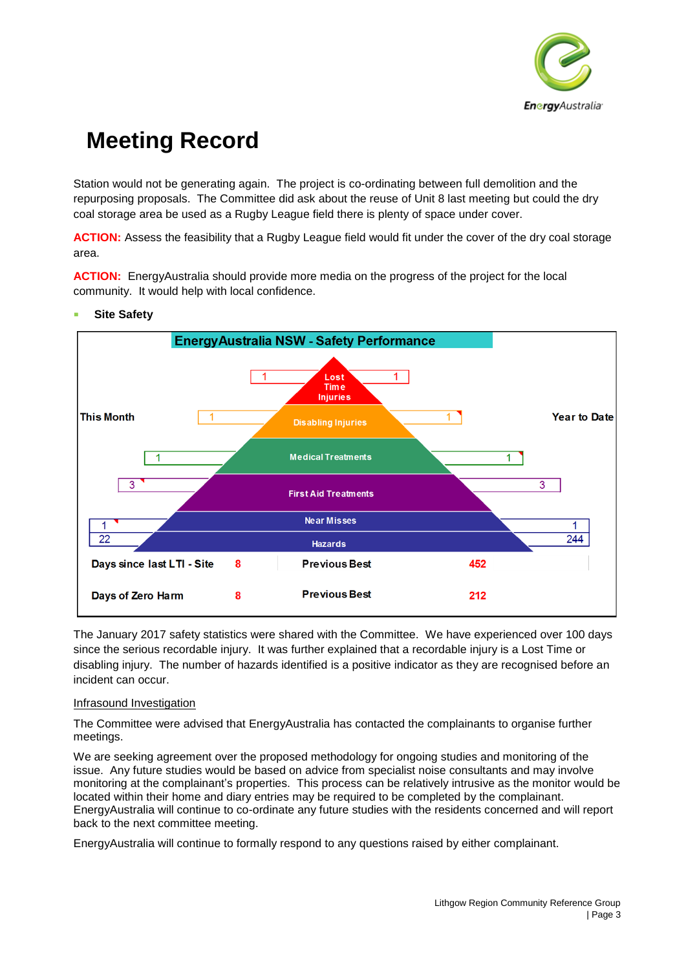

Station would not be generating again. The project is co-ordinating between full demolition and the repurposing proposals. The Committee did ask about the reuse of Unit 8 last meeting but could the dry coal storage area be used as a Rugby League field there is plenty of space under cover.

**ACTION:** Assess the feasibility that a Rugby League field would fit under the cover of the dry coal storage area.

**ACTION:** EnergyAustralia should provide more media on the progress of the project for the local community. It would help with local confidence.



## **Site Safety**

The January 2017 safety statistics were shared with the Committee. We have experienced over 100 days since the serious recordable injury. It was further explained that a recordable injury is a Lost Time or disabling injury. The number of hazards identified is a positive indicator as they are recognised before an incident can occur.

#### Infrasound Investigation

The Committee were advised that EnergyAustralia has contacted the complainants to organise further meetings.

We are seeking agreement over the proposed methodology for ongoing studies and monitoring of the issue. Any future studies would be based on advice from specialist noise consultants and may involve monitoring at the complainant's properties. This process can be relatively intrusive as the monitor would be located within their home and diary entries may be required to be completed by the complainant. EnergyAustralia will continue to co-ordinate any future studies with the residents concerned and will report back to the next committee meeting.

EnergyAustralia will continue to formally respond to any questions raised by either complainant.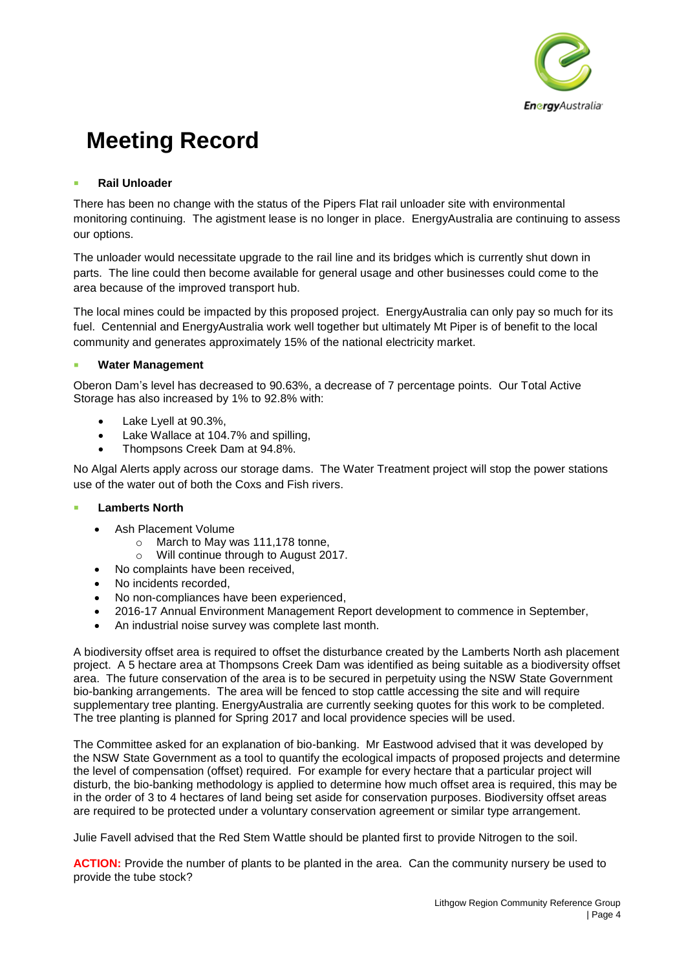

## **Rail Unloader**

There has been no change with the status of the Pipers Flat rail unloader site with environmental monitoring continuing. The agistment lease is no longer in place. EnergyAustralia are continuing to assess our options.

The unloader would necessitate upgrade to the rail line and its bridges which is currently shut down in parts. The line could then become available for general usage and other businesses could come to the area because of the improved transport hub.

The local mines could be impacted by this proposed project. EnergyAustralia can only pay so much for its fuel. Centennial and EnergyAustralia work well together but ultimately Mt Piper is of benefit to the local community and generates approximately 15% of the national electricity market.

## **Water Management**

Oberon Dam's level has decreased to 90.63%, a decrease of 7 percentage points. Our Total Active Storage has also increased by 1% to 92.8% with:

- Lake Lyell at 90.3%,
- Lake Wallace at 104.7% and spilling,
- Thompsons Creek Dam at 94.8%.

No Algal Alerts apply across our storage dams. The Water Treatment project will stop the power stations use of the water out of both the Coxs and Fish rivers.

#### **Lamberts North**

- Ash Placement Volume
	- o March to May was 111,178 tonne,
	- o Will continue through to August 2017.
- No complaints have been received.
- No incidents recorded,
- No non-compliances have been experienced,
- 2016-17 Annual Environment Management Report development to commence in September,
- An industrial noise survey was complete last month.

A biodiversity offset area is required to offset the disturbance created by the Lamberts North ash placement project. A 5 hectare area at Thompsons Creek Dam was identified as being suitable as a biodiversity offset area. The future conservation of the area is to be secured in perpetuity using the NSW State Government bio-banking arrangements. The area will be fenced to stop cattle accessing the site and will require supplementary tree planting. EnergyAustralia are currently seeking quotes for this work to be completed. The tree planting is planned for Spring 2017 and local providence species will be used.

The Committee asked for an explanation of bio-banking. Mr Eastwood advised that it was developed by the NSW State Government as a tool to quantify the ecological impacts of proposed projects and determine the level of compensation (offset) required. For example for every hectare that a particular project will disturb, the bio-banking methodology is applied to determine how much offset area is required, this may be in the order of 3 to 4 hectares of land being set aside for conservation purposes. Biodiversity offset areas are required to be protected under a voluntary conservation agreement or similar type arrangement.

Julie Favell advised that the Red Stem Wattle should be planted first to provide Nitrogen to the soil.

**ACTION:** Provide the number of plants to be planted in the area. Can the community nursery be used to provide the tube stock?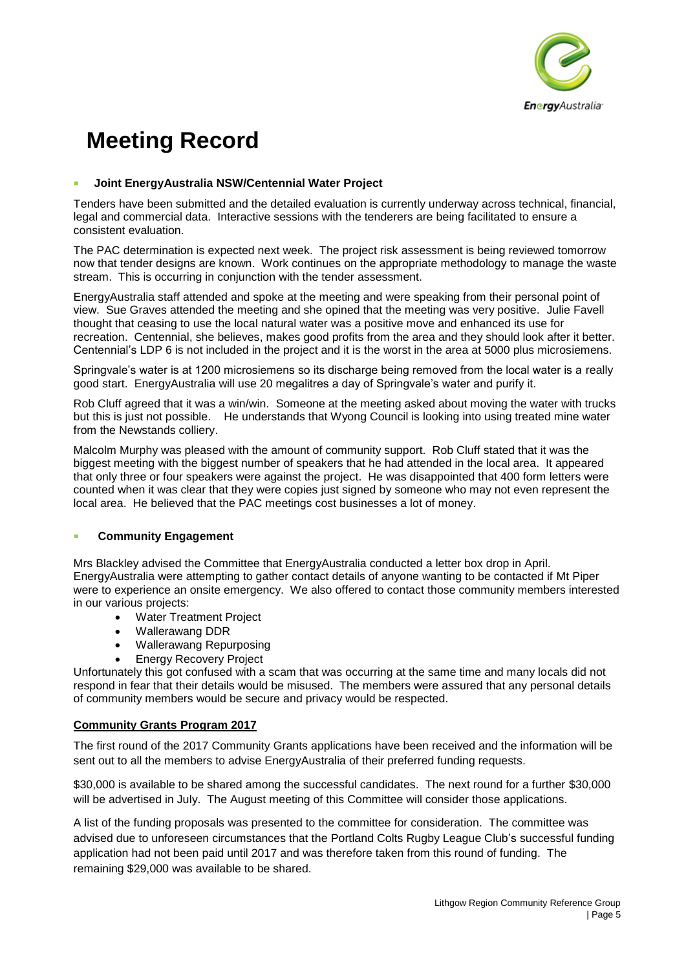

#### ▪ **Joint EnergyAustralia NSW/Centennial Water Project**

Tenders have been submitted and the detailed evaluation is currently underway across technical, financial, legal and commercial data. Interactive sessions with the tenderers are being facilitated to ensure a consistent evaluation.

The PAC determination is expected next week. The project risk assessment is being reviewed tomorrow now that tender designs are known. Work continues on the appropriate methodology to manage the waste stream. This is occurring in conjunction with the tender assessment.

EnergyAustralia staff attended and spoke at the meeting and were speaking from their personal point of view. Sue Graves attended the meeting and she opined that the meeting was very positive. Julie Favell thought that ceasing to use the local natural water was a positive move and enhanced its use for recreation. Centennial, she believes, makes good profits from the area and they should look after it better. Centennial's LDP 6 is not included in the project and it is the worst in the area at 5000 plus microsiemens.

Springvale's water is at 1200 microsiemens so its discharge being removed from the local water is a really good start. EnergyAustralia will use 20 megalitres a day of Springvale's water and purify it.

Rob Cluff agreed that it was a win/win. Someone at the meeting asked about moving the water with trucks but this is just not possible. He understands that Wyong Council is looking into using treated mine water from the Newstands colliery.

Malcolm Murphy was pleased with the amount of community support. Rob Cluff stated that it was the biggest meeting with the biggest number of speakers that he had attended in the local area. It appeared that only three or four speakers were against the project. He was disappointed that 400 form letters were counted when it was clear that they were copies just signed by someone who may not even represent the local area. He believed that the PAC meetings cost businesses a lot of money.

#### ▪ **Community Engagement**

Mrs Blackley advised the Committee that EnergyAustralia conducted a letter box drop in April. EnergyAustralia were attempting to gather contact details of anyone wanting to be contacted if Mt Piper were to experience an onsite emergency. We also offered to contact those community members interested in our various projects:

- Water Treatment Project
- Wallerawang DDR
- Wallerawang Repurposing
- **Energy Recovery Project**

Unfortunately this got confused with a scam that was occurring at the same time and many locals did not respond in fear that their details would be misused. The members were assured that any personal details of community members would be secure and privacy would be respected.

#### **Community Grants Program 2017**

The first round of the 2017 Community Grants applications have been received and the information will be sent out to all the members to advise EnergyAustralia of their preferred funding requests.

\$30,000 is available to be shared among the successful candidates. The next round for a further \$30,000 will be advertised in July. The August meeting of this Committee will consider those applications.

A list of the funding proposals was presented to the committee for consideration. The committee was advised due to unforeseen circumstances that the Portland Colts Rugby League Club's successful funding application had not been paid until 2017 and was therefore taken from this round of funding. The remaining \$29,000 was available to be shared.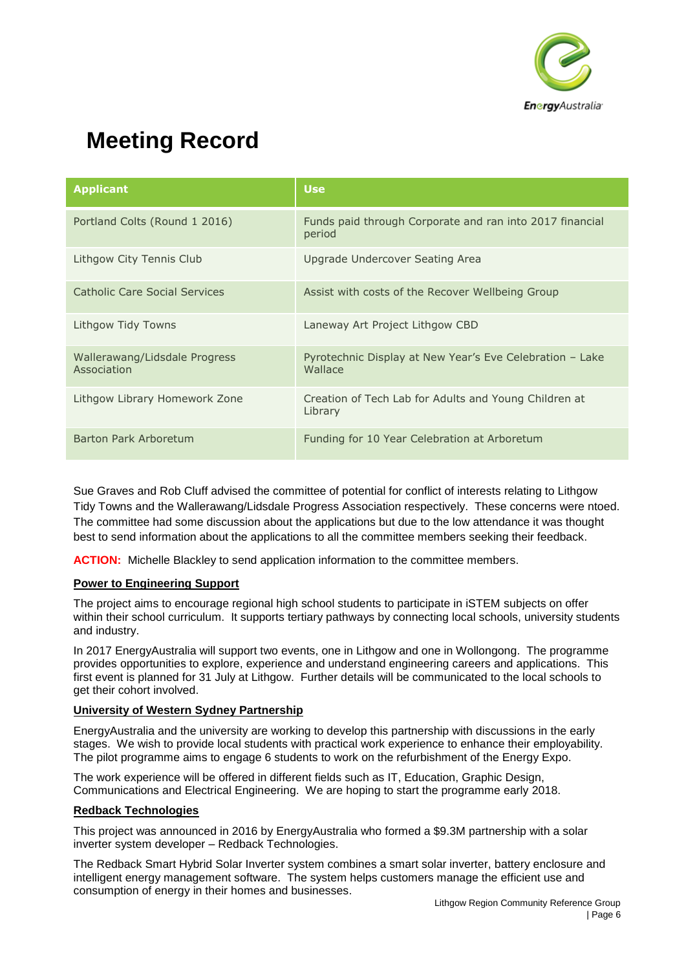

| <b>Applicant</b>                             | <b>Use</b>                                                          |  |
|----------------------------------------------|---------------------------------------------------------------------|--|
| Portland Colts (Round 1 2016)                | Funds paid through Corporate and ran into 2017 financial<br>period  |  |
| Lithgow City Tennis Club                     | Upgrade Undercover Seating Area                                     |  |
| Catholic Care Social Services                | Assist with costs of the Recover Wellbeing Group                    |  |
| Lithgow Tidy Towns                           | Laneway Art Project Lithgow CBD                                     |  |
| Wallerawang/Lidsdale Progress<br>Association | Pyrotechnic Display at New Year's Eve Celebration - Lake<br>Wallace |  |
| Lithgow Library Homework Zone                | Creation of Tech Lab for Adults and Young Children at<br>Library    |  |
| Barton Park Arboretum                        | Funding for 10 Year Celebration at Arboretum                        |  |

Sue Graves and Rob Cluff advised the committee of potential for conflict of interests relating to Lithgow Tidy Towns and the Wallerawang/Lidsdale Progress Association respectively. These concerns were ntoed. The committee had some discussion about the applications but due to the low attendance it was thought best to send information about the applications to all the committee members seeking their feedback.

**ACTION:** Michelle Blackley to send application information to the committee members.

### **Power to Engineering Support**

The project aims to encourage regional high school students to participate in iSTEM subjects on offer within their school curriculum. It supports tertiary pathways by connecting local schools, university students and industry.

In 2017 EnergyAustralia will support two events, one in Lithgow and one in Wollongong. The programme provides opportunities to explore, experience and understand engineering careers and applications. This first event is planned for 31 July at Lithgow. Further details will be communicated to the local schools to get their cohort involved.

#### **University of Western Sydney Partnership**

EnergyAustralia and the university are working to develop this partnership with discussions in the early stages. We wish to provide local students with practical work experience to enhance their employability. The pilot programme aims to engage 6 students to work on the refurbishment of the Energy Expo.

The work experience will be offered in different fields such as IT, Education, Graphic Design, Communications and Electrical Engineering. We are hoping to start the programme early 2018.

#### **Redback Technologies**

This project was announced in 2016 by EnergyAustralia who formed a \$9.3M partnership with a solar inverter system developer – Redback Technologies.

The Redback Smart Hybrid Solar Inverter system combines a smart solar inverter, battery enclosure and intelligent energy management software. The system helps customers manage the efficient use and consumption of energy in their homes and businesses.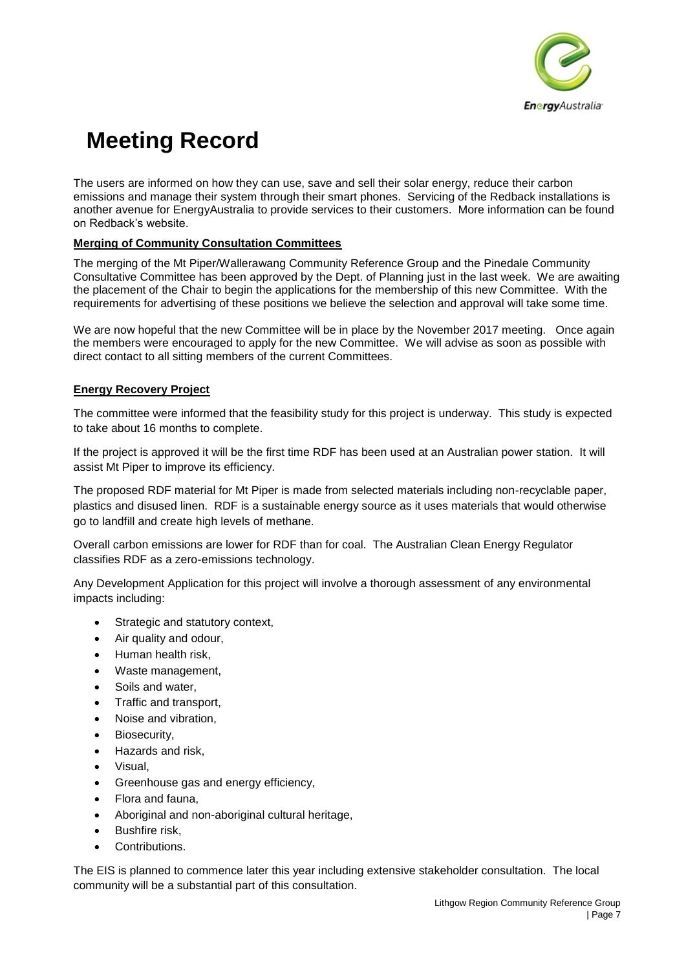

The users are informed on how they can use, save and sell their solar energy, reduce their carbon emissions and manage their system through their smart phones. Servicing of the Redback installations is another avenue for EnergyAustralia to provide services to their customers. More information can be found on Redback's website.

## **Merging of Community Consultation Committees**

The merging of the Mt Piper/Wallerawang Community Reference Group and the Pinedale Community Consultative Committee has been approved by the Dept. of Planning just in the last week. We are awaiting the placement of the Chair to begin the applications for the membership of this new Committee. With the requirements for advertising of these positions we believe the selection and approval will take some time.

We are now hopeful that the new Committee will be in place by the November 2017 meeting. Once again the members were encouraged to apply for the new Committee. We will advise as soon as possible with direct contact to all sitting members of the current Committees.

## **Energy Recovery Project**

The committee were informed that the feasibility study for this project is underway. This study is expected to take about 16 months to complete.

If the project is approved it will be the first time RDF has been used at an Australian power station. It will assist Mt Piper to improve its efficiency.

The proposed RDF material for Mt Piper is made from selected materials including non-recyclable paper, plastics and disused linen. RDF is a sustainable energy source as it uses materials that would otherwise go to landfill and create high levels of methane.

Overall carbon emissions are lower for RDF than for coal. The Australian Clean Energy Regulator classifies RDF as a zero-emissions technology.

Any Development Application for this project will involve a thorough assessment of any environmental impacts including:

- Strategic and statutory context,
- Air quality and odour,
- Human health risk,
- Waste management,
- Soils and water,
- Traffic and transport,
- Noise and vibration,
- Biosecurity.
- Hazards and risk,
- Visual,
- Greenhouse gas and energy efficiency,
- Flora and fauna,
- Aboriginal and non-aboriginal cultural heritage,
- Bushfire risk.
- Contributions.

The EIS is planned to commence later this year including extensive stakeholder consultation. The local community will be a substantial part of this consultation.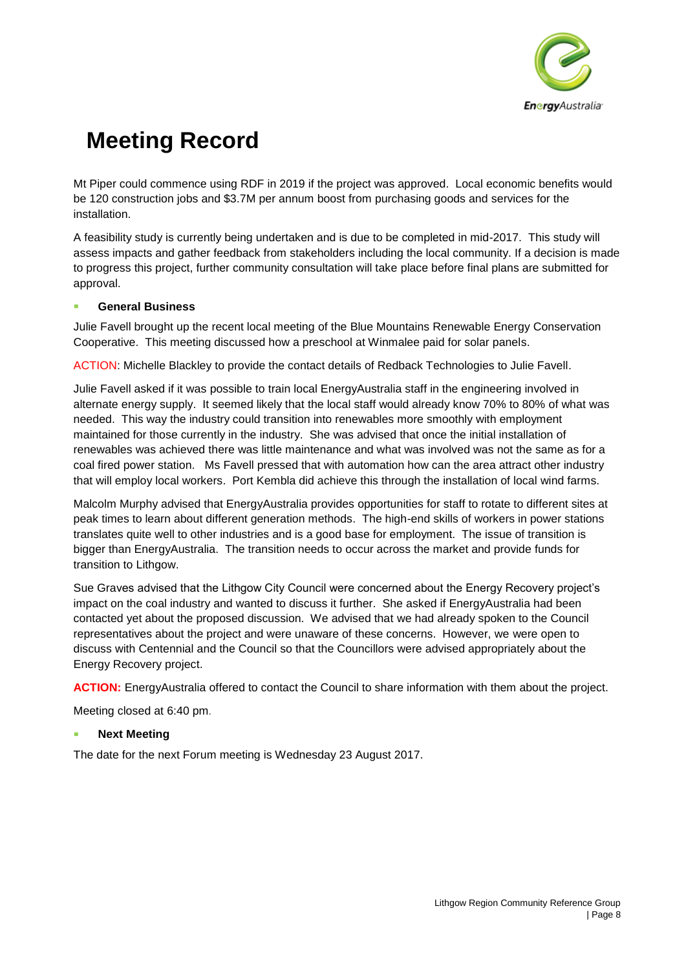

Mt Piper could commence using RDF in 2019 if the project was approved. Local economic benefits would be 120 construction jobs and \$3.7M per annum boost from purchasing goods and services for the installation.

A feasibility study is currently being undertaken and is due to be completed in mid-2017. This study will assess impacts and gather feedback from stakeholders including the local community. If a decision is made to progress this project, further community consultation will take place before final plans are submitted for approval.

## ▪ **General Business**

Julie Favell brought up the recent local meeting of the Blue Mountains Renewable Energy Conservation Cooperative. This meeting discussed how a preschool at Winmalee paid for solar panels.

ACTION: Michelle Blackley to provide the contact details of Redback Technologies to Julie Favell.

Julie Favell asked if it was possible to train local EnergyAustralia staff in the engineering involved in alternate energy supply. It seemed likely that the local staff would already know 70% to 80% of what was needed. This way the industry could transition into renewables more smoothly with employment maintained for those currently in the industry. She was advised that once the initial installation of renewables was achieved there was little maintenance and what was involved was not the same as for a coal fired power station. Ms Favell pressed that with automation how can the area attract other industry that will employ local workers. Port Kembla did achieve this through the installation of local wind farms.

Malcolm Murphy advised that EnergyAustralia provides opportunities for staff to rotate to different sites at peak times to learn about different generation methods. The high-end skills of workers in power stations translates quite well to other industries and is a good base for employment. The issue of transition is bigger than EnergyAustralia. The transition needs to occur across the market and provide funds for transition to Lithgow.

Sue Graves advised that the Lithgow City Council were concerned about the Energy Recovery project's impact on the coal industry and wanted to discuss it further. She asked if EnergyAustralia had been contacted yet about the proposed discussion. We advised that we had already spoken to the Council representatives about the project and were unaware of these concerns. However, we were open to discuss with Centennial and the Council so that the Councillors were advised appropriately about the Energy Recovery project.

**ACTION:** EnergyAustralia offered to contact the Council to share information with them about the project.

Meeting closed at 6:40 pm.

## **Next Meeting**

The date for the next Forum meeting is Wednesday 23 August 2017.